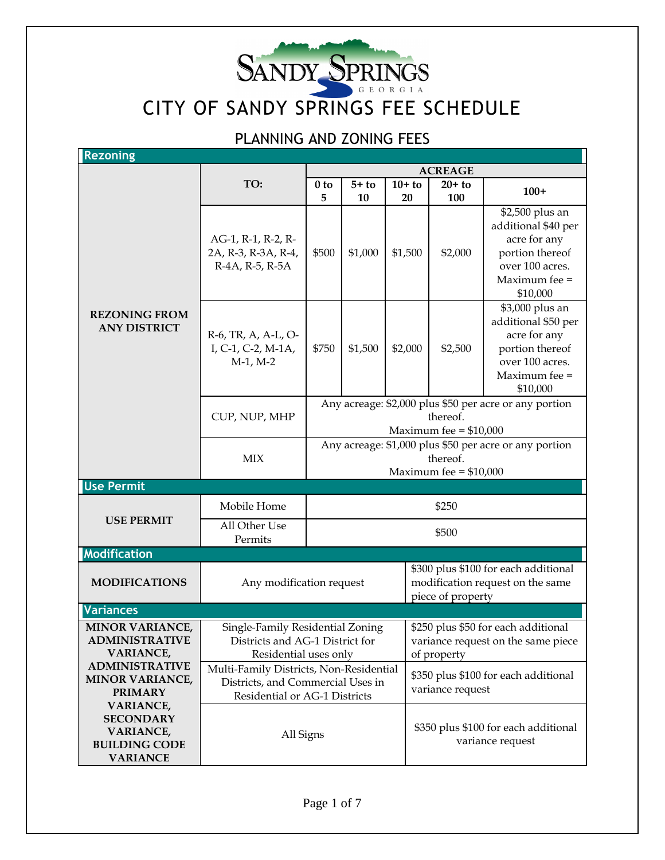

## PLANNING AND ZONING FEES

| <b>Rezoning</b>                                                                                     |                                                                                                               |                                                                                               |               |                                                                                               |                  |                                                                                                                           |
|-----------------------------------------------------------------------------------------------------|---------------------------------------------------------------------------------------------------------------|-----------------------------------------------------------------------------------------------|---------------|-----------------------------------------------------------------------------------------------|------------------|---------------------------------------------------------------------------------------------------------------------------|
|                                                                                                     |                                                                                                               | <b>ACREAGE</b>                                                                                |               |                                                                                               |                  |                                                                                                                           |
| <b>REZONING FROM</b><br><b>ANY DISTRICT</b>                                                         | TO:                                                                                                           | 0 <sub>to</sub>                                                                               | $5+$ to       | $10+$ to                                                                                      | $20+$ to         | $100+$                                                                                                                    |
|                                                                                                     | AG-1, R-1, R-2, R-<br>2A, R-3, R-3A, R-4,<br>R-4A, R-5, R-5A                                                  | 5<br>\$500                                                                                    | 10<br>\$1,000 | 20<br>\$1,500                                                                                 | 100<br>\$2,000   | \$2,500 plus an<br>additional \$40 per<br>acre for any<br>portion thereof<br>over 100 acres.<br>Maximum fee =<br>\$10,000 |
|                                                                                                     | R-6, TR, A, A-L, O-<br>I, C-1, C-2, M-1A,<br>$M-1$ , $M-2$                                                    | \$750                                                                                         | \$1,500       | \$2,000                                                                                       | \$2,500          | \$3,000 plus an<br>additional \$50 per<br>acre for any<br>portion thereof<br>over 100 acres.<br>Maximum fee =<br>\$10,000 |
|                                                                                                     | CUP, NUP, MHP                                                                                                 | Any acreage: \$2,000 plus \$50 per acre or any portion<br>thereof.<br>Maximum fee = $$10,000$ |               |                                                                                               |                  |                                                                                                                           |
|                                                                                                     | <b>MIX</b>                                                                                                    | Any acreage: \$1,000 plus \$50 per acre or any portion<br>thereof.<br>Maximum fee = $$10,000$ |               |                                                                                               |                  |                                                                                                                           |
| <b>Use Permit</b>                                                                                   |                                                                                                               |                                                                                               |               |                                                                                               |                  |                                                                                                                           |
|                                                                                                     | Mobile Home                                                                                                   | \$250                                                                                         |               |                                                                                               |                  |                                                                                                                           |
| <b>USE PERMIT</b>                                                                                   | All Other Use<br>Permits                                                                                      | \$500                                                                                         |               |                                                                                               |                  |                                                                                                                           |
| Modification                                                                                        |                                                                                                               |                                                                                               |               |                                                                                               |                  |                                                                                                                           |
| <b>MODIFICATIONS</b>                                                                                | Any modification request                                                                                      |                                                                                               |               | \$300 plus \$100 for each additional<br>modification request on the same<br>piece of property |                  |                                                                                                                           |
| <b>Variances</b>                                                                                    |                                                                                                               |                                                                                               |               |                                                                                               |                  |                                                                                                                           |
| <b>MINOR VARIANCE,</b><br><b>ADMINISTRATIVE</b><br><b>VARIANCE,</b>                                 | Single-Family Residential Zoning<br>Districts and AG-1 District for<br>Residential uses only                  |                                                                                               |               | \$250 plus \$50 for each additional<br>variance request on the same piece<br>of property      |                  |                                                                                                                           |
| <b>ADMINISTRATIVE</b><br><b>MINOR VARIANCE,</b><br><b>PRIMARY</b>                                   | Multi-Family Districts, Non-Residential<br>Districts, and Commercial Uses in<br>Residential or AG-1 Districts |                                                                                               |               |                                                                                               | variance request | \$350 plus \$100 for each additional                                                                                      |
| <b>VARIANCE,</b><br><b>SECONDARY</b><br><b>VARIANCE,</b><br><b>BUILDING CODE</b><br><b>VARIANCE</b> | All Signs                                                                                                     |                                                                                               |               |                                                                                               |                  | \$350 plus \$100 for each additional<br>variance request                                                                  |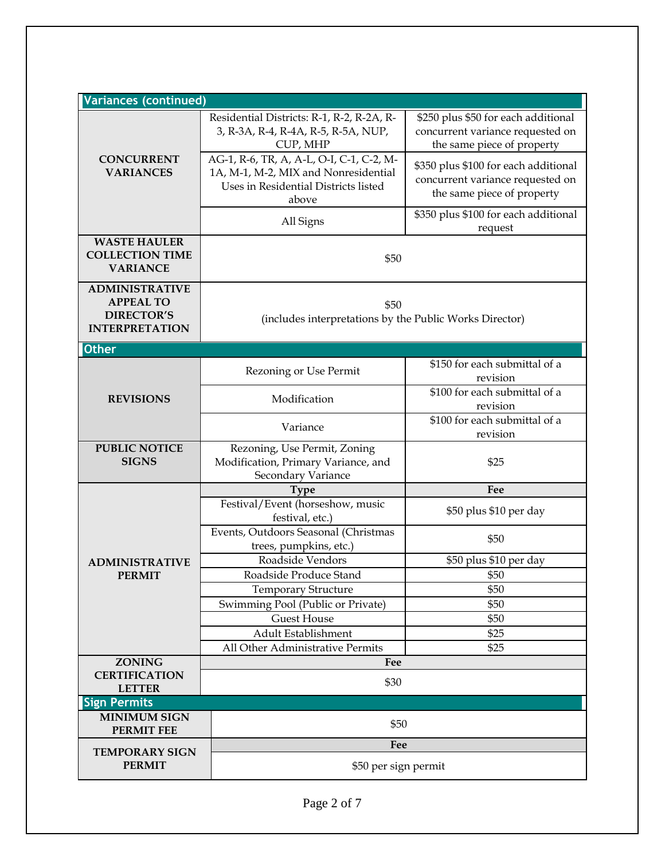| <b>Variances (continued)</b>                                                            |                                                                                                                                   |                                                                                                        |  |
|-----------------------------------------------------------------------------------------|-----------------------------------------------------------------------------------------------------------------------------------|--------------------------------------------------------------------------------------------------------|--|
|                                                                                         | Residential Districts: R-1, R-2, R-2A, R-<br>3, R-3A, R-4, R-4A, R-5, R-5A, NUP,<br>CUP, MHP                                      | \$250 plus \$50 for each additional<br>concurrent variance requested on<br>the same piece of property  |  |
| <b>CONCURRENT</b><br><b>VARIANCES</b>                                                   | AG-1, R-6, TR, A, A-L, O-I, C-1, C-2, M-<br>1A, M-1, M-2, MIX and Nonresidential<br>Uses in Residential Districts listed<br>above | \$350 plus \$100 for each additional<br>concurrent variance requested on<br>the same piece of property |  |
|                                                                                         | All Signs                                                                                                                         | \$350 plus \$100 for each additional<br>request                                                        |  |
| <b>WASTE HAULER</b><br><b>COLLECTION TIME</b><br><b>VARIANCE</b>                        | \$50                                                                                                                              |                                                                                                        |  |
| <b>ADMINISTRATIVE</b><br><b>APPEAL TO</b><br><b>DIRECTOR'S</b><br><b>INTERPRETATION</b> | \$50<br>(includes interpretations by the Public Works Director)                                                                   |                                                                                                        |  |
| <b>Other</b>                                                                            |                                                                                                                                   |                                                                                                        |  |
|                                                                                         | Rezoning or Use Permit                                                                                                            | \$150 for each submittal of a<br>revision                                                              |  |
| <b>REVISIONS</b>                                                                        | Modification                                                                                                                      | \$100 for each submittal of a<br>revision                                                              |  |
|                                                                                         | Variance                                                                                                                          | \$100 for each submittal of a<br>revision                                                              |  |
| <b>PUBLIC NOTICE</b><br><b>SIGNS</b>                                                    | Rezoning, Use Permit, Zoning<br>Modification, Primary Variance, and<br>Secondary Variance                                         | \$25                                                                                                   |  |
|                                                                                         | <b>Type</b>                                                                                                                       | Fee                                                                                                    |  |
|                                                                                         | Festival/Event (horseshow, music<br>festival, etc.)                                                                               | \$50 plus \$10 per day                                                                                 |  |
|                                                                                         | Events, Outdoors Seasonal (Christmas<br>trees, pumpkins, etc.)                                                                    | \$50                                                                                                   |  |
| <b>ADMINISTRATIVE</b>                                                                   | Roadside Vendors                                                                                                                  | \$50 plus \$10 per day                                                                                 |  |
| <b>PERMIT</b>                                                                           | Roadside Produce Stand                                                                                                            | \$50                                                                                                   |  |
|                                                                                         | <b>Temporary Structure</b>                                                                                                        | \$50                                                                                                   |  |
|                                                                                         | Swimming Pool (Public or Private)                                                                                                 | \$50                                                                                                   |  |
|                                                                                         | <b>Guest House</b>                                                                                                                | \$50                                                                                                   |  |
|                                                                                         | Adult Establishment                                                                                                               | \$25                                                                                                   |  |
| <b>ZONING</b>                                                                           | All Other Administrative Permits                                                                                                  | \$25                                                                                                   |  |
| <b>CERTIFICATION</b><br><b>LETTER</b>                                                   | Fee<br>\$30                                                                                                                       |                                                                                                        |  |
| <b>Sign Permits</b>                                                                     |                                                                                                                                   |                                                                                                        |  |
| <b>MINIMUM SIGN</b><br><b>PERMIT FEE</b>                                                | \$50                                                                                                                              |                                                                                                        |  |
| <b>TEMPORARY SIGN</b>                                                                   | Fee                                                                                                                               |                                                                                                        |  |
| <b>PERMIT</b>                                                                           | \$50 per sign permit                                                                                                              |                                                                                                        |  |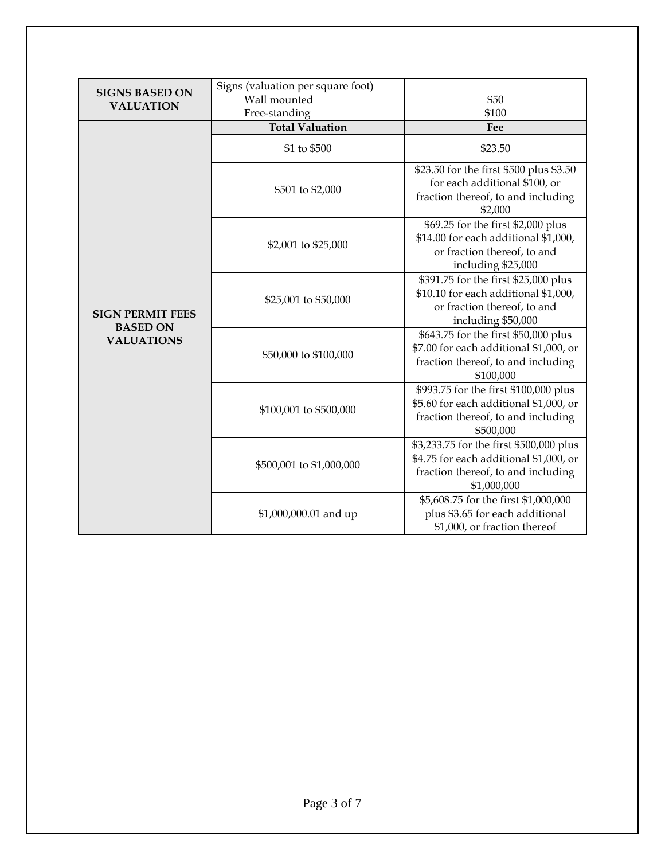| <b>SIGNS BASED ON</b><br><b>VALUATION</b>                       | Signs (valuation per square foot)<br>Wall mounted<br>Free-standing | \$50<br>\$100                                                                                                                          |  |
|-----------------------------------------------------------------|--------------------------------------------------------------------|----------------------------------------------------------------------------------------------------------------------------------------|--|
|                                                                 | <b>Total Valuation</b>                                             | Fee                                                                                                                                    |  |
| <b>SIGN PERMIT FEES</b><br><b>BASED ON</b><br><b>VALUATIONS</b> | \$1 to \$500                                                       | \$23.50                                                                                                                                |  |
|                                                                 | \$501 to \$2,000                                                   | \$23.50 for the first \$500 plus \$3.50<br>for each additional \$100, or<br>fraction thereof, to and including<br>\$2,000              |  |
|                                                                 | \$2,001 to \$25,000                                                | \$69.25 for the first \$2,000 plus<br>\$14.00 for each additional \$1,000,<br>or fraction thereof, to and<br>including \$25,000        |  |
|                                                                 | \$25,001 to \$50,000                                               | \$391.75 for the first \$25,000 plus<br>\$10.10 for each additional \$1,000,<br>or fraction thereof, to and<br>including \$50,000      |  |
|                                                                 | \$50,000 to \$100,000                                              | \$643.75 for the first \$50,000 plus<br>\$7.00 for each additional \$1,000, or<br>fraction thereof, to and including<br>\$100,000      |  |
|                                                                 | \$100,001 to \$500,000                                             | \$993.75 for the first \$100,000 plus<br>\$5.60 for each additional \$1,000, or<br>fraction thereof, to and including<br>\$500,000     |  |
|                                                                 | \$500,001 to \$1,000,000                                           | \$3,233.75 for the first \$500,000 plus<br>\$4.75 for each additional \$1,000, or<br>fraction thereof, to and including<br>\$1,000,000 |  |
|                                                                 | \$1,000,000.01 and up                                              | \$5,608.75 for the first \$1,000,000<br>plus \$3.65 for each additional<br>\$1,000, or fraction thereof                                |  |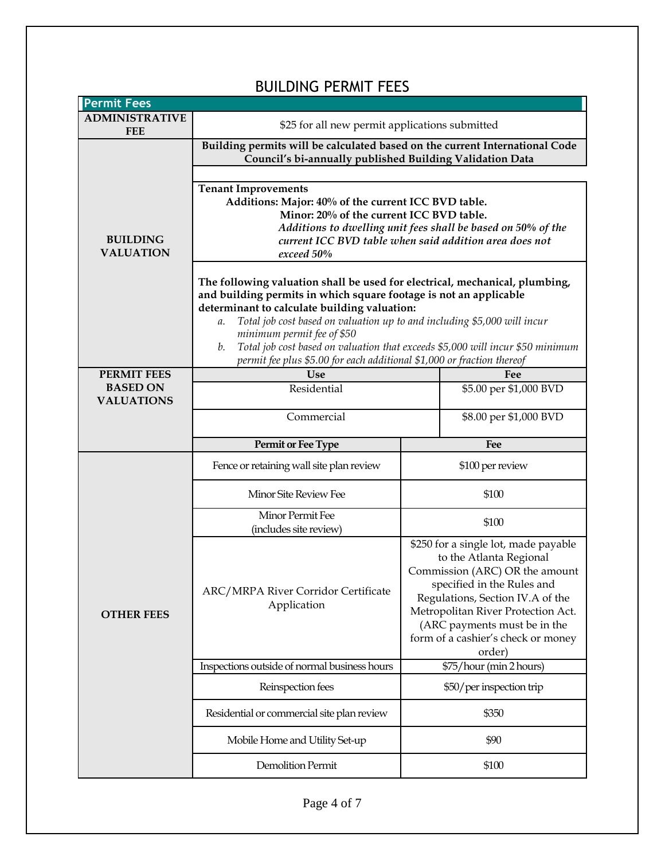| <b>Permit Fees</b>                                  |                                                                                                                                                                                                                                                                                    |                                                                                                                                                                                                                                                                                           |  |  |
|-----------------------------------------------------|------------------------------------------------------------------------------------------------------------------------------------------------------------------------------------------------------------------------------------------------------------------------------------|-------------------------------------------------------------------------------------------------------------------------------------------------------------------------------------------------------------------------------------------------------------------------------------------|--|--|
| <b>ADMINISTRATIVE</b><br><b>FEE</b>                 | \$25 for all new permit applications submitted                                                                                                                                                                                                                                     |                                                                                                                                                                                                                                                                                           |  |  |
|                                                     | Building permits will be calculated based on the current International Code<br>Council's bi-annually published Building Validation Data                                                                                                                                            |                                                                                                                                                                                                                                                                                           |  |  |
|                                                     |                                                                                                                                                                                                                                                                                    |                                                                                                                                                                                                                                                                                           |  |  |
| <b>BUILDING</b><br><b>VALUATION</b>                 | <b>Tenant Improvements</b><br>Additions: Major: 40% of the current ICC BVD table.<br>Minor: 20% of the current ICC BVD table.<br>Additions to dwelling unit fees shall be based on 50% of the<br>current ICC BVD table when said addition area does not<br>exceed 50%              |                                                                                                                                                                                                                                                                                           |  |  |
|                                                     | The following valuation shall be used for electrical, mechanical, plumbing,<br>and building permits in which square footage is not an applicable<br>determinant to calculate building valuation:<br>Total job cost based on valuation up to and including \$5,000 will incur<br>a. |                                                                                                                                                                                                                                                                                           |  |  |
|                                                     | minimum permit fee of \$50<br>Total job cost based on valuation that exceeds \$5,000 will incur \$50 minimum<br>b.<br>permit fee plus \$5.00 for each additional \$1,000 or fraction thereof                                                                                       |                                                                                                                                                                                                                                                                                           |  |  |
| PERMIT FEES                                         | <b>Use</b>                                                                                                                                                                                                                                                                         | Fee                                                                                                                                                                                                                                                                                       |  |  |
| <b>BASED ON</b><br>Residential<br><b>VALUATIONS</b> |                                                                                                                                                                                                                                                                                    | \$5.00 per \$1,000 BVD                                                                                                                                                                                                                                                                    |  |  |
|                                                     | Commercial                                                                                                                                                                                                                                                                         | \$8.00 per \$1,000 BVD                                                                                                                                                                                                                                                                    |  |  |
|                                                     |                                                                                                                                                                                                                                                                                    | Fee                                                                                                                                                                                                                                                                                       |  |  |
|                                                     | Permit or Fee Type                                                                                                                                                                                                                                                                 |                                                                                                                                                                                                                                                                                           |  |  |
|                                                     | Fence or retaining wall site plan review                                                                                                                                                                                                                                           | \$100 per review                                                                                                                                                                                                                                                                          |  |  |
|                                                     | Minor Site Review Fee                                                                                                                                                                                                                                                              | \$100                                                                                                                                                                                                                                                                                     |  |  |
|                                                     | Minor Permit Fee<br>(includes site review)                                                                                                                                                                                                                                         | \$100                                                                                                                                                                                                                                                                                     |  |  |
| <b>OTHER FEES</b>                                   | ARC/MRPA River Corridor Certificate<br>Application                                                                                                                                                                                                                                 | \$250 for a single lot, made payable<br>to the Atlanta Regional<br>Commission (ARC) OR the amount<br>specified in the Rules and<br>Regulations, Section IV.A of the<br>Metropolitan River Protection Act.<br>(ARC payments must be in the<br>form of a cashier's check or money<br>order) |  |  |
|                                                     | Inspections outside of normal business hours                                                                                                                                                                                                                                       | \$75/hour (min 2 hours)                                                                                                                                                                                                                                                                   |  |  |
|                                                     | Reinspection fees                                                                                                                                                                                                                                                                  | \$50/per inspection trip                                                                                                                                                                                                                                                                  |  |  |
|                                                     | Residential or commercial site plan review                                                                                                                                                                                                                                         | \$350                                                                                                                                                                                                                                                                                     |  |  |
|                                                     | Mobile Home and Utility Set-up                                                                                                                                                                                                                                                     | \$90                                                                                                                                                                                                                                                                                      |  |  |

## BUILDING PERMIT FEES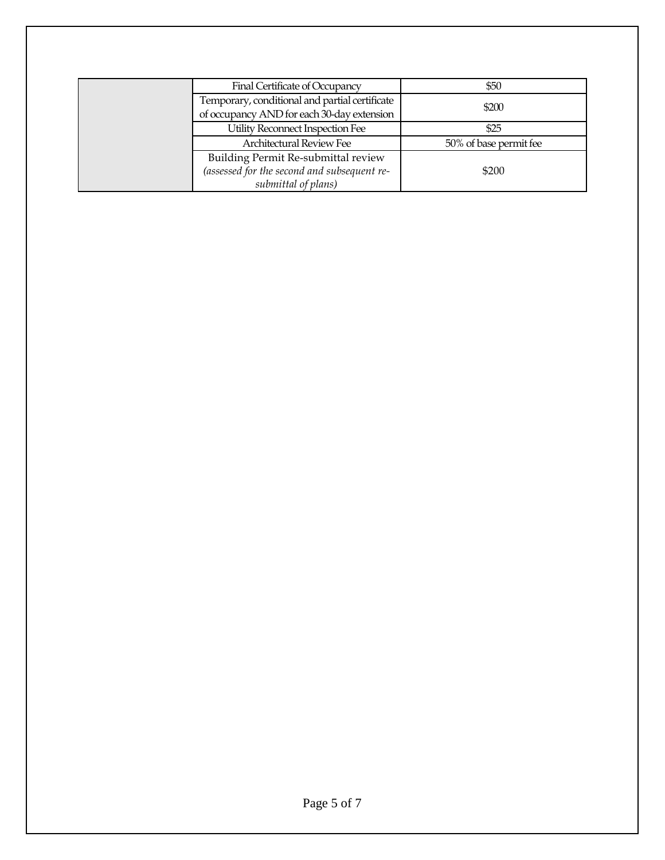| Final Certificate of Occupancy                                                                            | \$50                   |
|-----------------------------------------------------------------------------------------------------------|------------------------|
| Temporary, conditional and partial certificate<br>of occupancy AND for each 30-day extension              | \$200                  |
| Utility Reconnect Inspection Fee                                                                          | \$25                   |
| Architectural Review Fee                                                                                  | 50% of base permit fee |
| Building Permit Re-submittal review<br>(assessed for the second and subsequent re-<br>submittal of plans) | \$200                  |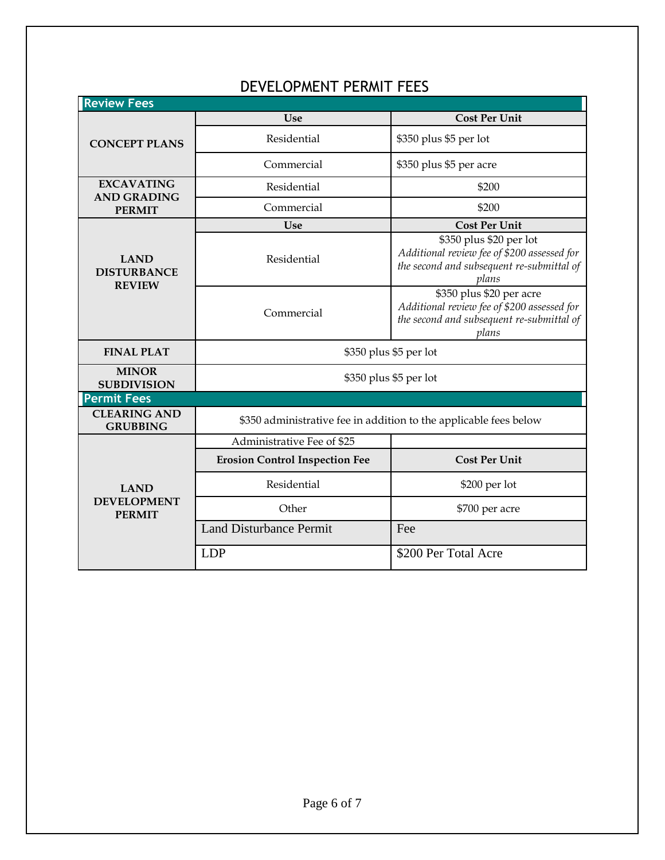| <b>Review Fees</b>                                 |                                                                   |                                                                                                                               |  |
|----------------------------------------------------|-------------------------------------------------------------------|-------------------------------------------------------------------------------------------------------------------------------|--|
|                                                    | Use                                                               | <b>Cost Per Unit</b>                                                                                                          |  |
| <b>CONCEPT PLANS</b>                               | Residential                                                       | \$350 plus \$5 per lot                                                                                                        |  |
|                                                    | Commercial                                                        | \$350 plus \$5 per acre                                                                                                       |  |
| <b>EXCAVATING</b>                                  | Residential                                                       | \$200                                                                                                                         |  |
| <b>AND GRADING</b><br><b>PERMIT</b>                | Commercial                                                        | \$200                                                                                                                         |  |
|                                                    | Use                                                               | <b>Cost Per Unit</b>                                                                                                          |  |
| <b>LAND</b><br><b>DISTURBANCE</b><br><b>REVIEW</b> | Residential                                                       | \$350 plus \$20 per lot<br>Additional review fee of \$200 assessed for<br>the second and subsequent re-submittal of<br>plans  |  |
|                                                    | Commercial                                                        | \$350 plus \$20 per acre<br>Additional review fee of \$200 assessed for<br>the second and subsequent re-submittal of<br>plans |  |
| <b>FINAL PLAT</b>                                  | \$350 plus \$5 per lot                                            |                                                                                                                               |  |
| <b>MINOR</b><br><b>SUBDIVISION</b>                 | \$350 plus \$5 per lot                                            |                                                                                                                               |  |
| <b>Permit Fees</b>                                 |                                                                   |                                                                                                                               |  |
| <b>CLEARING AND</b><br><b>GRUBBING</b>             | \$350 administrative fee in addition to the applicable fees below |                                                                                                                               |  |
|                                                    | Administrative Fee of \$25                                        |                                                                                                                               |  |
|                                                    | <b>Erosion Control Inspection Fee</b>                             | <b>Cost Per Unit</b>                                                                                                          |  |
| <b>LAND</b><br><b>DEVELOPMENT</b><br><b>PERMIT</b> | Residential                                                       | \$200 per lot                                                                                                                 |  |
|                                                    | Other                                                             | \$700 per acre                                                                                                                |  |
|                                                    | <b>Land Disturbance Permit</b>                                    | Fee                                                                                                                           |  |
|                                                    | <b>LDP</b>                                                        | \$200 Per Total Acre                                                                                                          |  |

## DEVELOPMENT PERMIT FEES